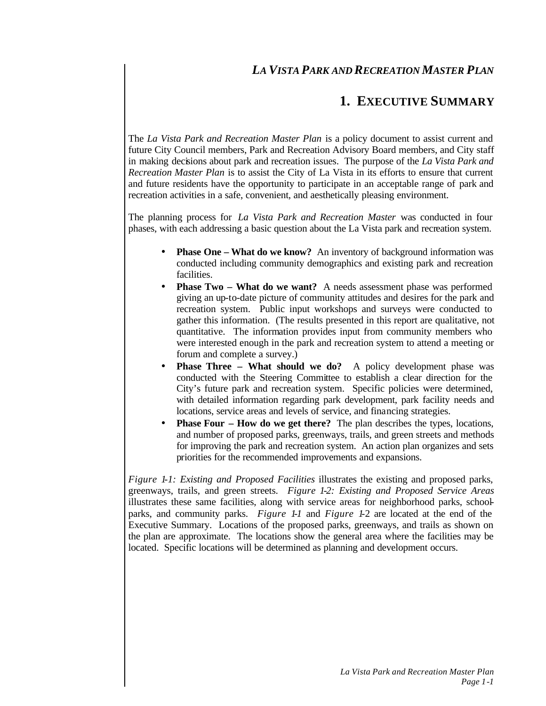# *LA VISTA PARK AND RECREATION MASTER PLAN*

# **1. EXECUTIVE SUMMARY**

The *La Vista Park and Recreation Master Plan* is a policy document to assist current and future City Council members, Park and Recreation Advisory Board members, and City staff in making decisions about park and recreation issues. The purpose of the *La Vista Park and Recreation Master Plan* is to assist the City of La Vista in its efforts to ensure that current and future residents have the opportunity to participate in an acceptable range of park and recreation activities in a safe, convenient, and aesthetically pleasing environment.

The planning process for *La Vista Park and Recreation Master* was conducted in four phases, with each addressing a basic question about the La Vista park and recreation system.

- **Phase One What do we know?** An inventory of background information was conducted including community demographics and existing park and recreation facilities.
- **Phase Two What do we want?** A needs assessment phase was performed giving an up-to-date picture of community attitudes and desires for the park and recreation system. Public input workshops and surveys were conducted to gather this information. (The results presented in this report are qualitative, not quantitative. The information provides input from community members who were interested enough in the park and recreation system to attend a meeting or forum and complete a survey.)
- **Phase Three What should we do?** A policy development phase was conducted with the Steering Committee to establish a clear direction for the City's future park and recreation system. Specific policies were determined, with detailed information regarding park development, park facility needs and locations, service areas and levels of service, and financing strategies.
- **Phase Four How do we get there?** The plan describes the types, locations, and number of proposed parks, greenways, trails, and green streets and methods for improving the park and recreation system. An action plan organizes and sets priorities for the recommended improvements and expansions.

*Figure 1-1: Existing and Proposed Facilities* illustrates the existing and proposed parks, greenways, trails, and green streets. *Figure 1-2: Existing and Proposed Service Areas* illustrates these same facilities, along with service areas for neighborhood parks, schoolparks, and community parks. *Figure 1-1* and *Figure 1-*2 are located at the end of the Executive Summary. Locations of the proposed parks, greenways, and trails as shown on the plan are approximate. The locations show the general area where the facilities may be located. Specific locations will be determined as planning and development occurs.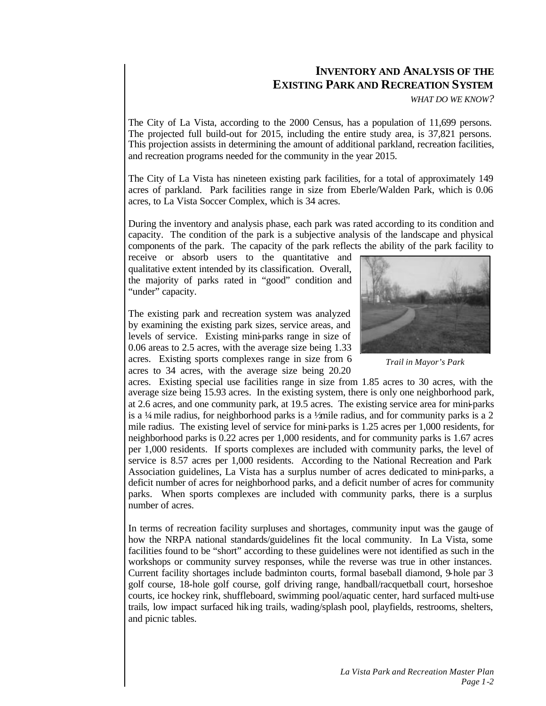# **INVENTORY AND ANALYSIS OF THE EXISTING PARK AND RECREATION SYSTEM**

*WHAT DO WE KNOW?*

The City of La Vista, according to the 2000 Census, has a population of 11,699 persons. The projected full build-out for 2015, including the entire study area, is 37,821 persons. This projection assists in determining the amount of additional parkland, recreation facilities, and recreation programs needed for the community in the year 2015.

The City of La Vista has nineteen existing park facilities, for a total of approximately 149 acres of parkland. Park facilities range in size from Eberle/Walden Park, which is 0.06 acres, to La Vista Soccer Complex, which is 34 acres.

During the inventory and analysis phase, each park was rated according to its condition and capacity. The condition of the park is a subjective analysis of the landscape and physical components of the park. The capacity of the park reflects the ability of the park facility to

receive or absorb users to the quantitative and qualitative extent intended by its classification. Overall, the majority of parks rated in "good" condition and "under" capacity.

The existing park and recreation system was analyzed by examining the existing park sizes, service areas, and levels of service. Existing mini-parks range in size of 0.06 areas to 2.5 acres, with the average size being 1.33 acres. Existing sports complexes range in size from 6 acres to 34 acres, with the average size being 20.20



*Trail in Mayor's Park*

acres. Existing special use facilities range in size from 1.85 acres to 30 acres, with the average size being 15.93 acres. In the existing system, there is only one neighborhood park, at 2.6 acres, and one community park, at 19.5 acres. The existing service area for mini-parks is a  $\frac{1}{4}$  mile radius, for neighborhood parks is a  $\frac{1}{4}$  mile radius, and for community parks is a 2 mile radius. The existing level of service for mini-parks is 1.25 acres per 1,000 residents, for neighborhood parks is 0.22 acres per 1,000 residents, and for community parks is 1.67 acres per 1,000 residents. If sports complexes are included with community parks, the level of service is 8.57 acres per 1,000 residents. According to the National Recreation and Park Association guidelines, La Vista has a surplus number of acres dedicated to mini-parks, a deficit number of acres for neighborhood parks, and a deficit number of acres for community parks. When sports complexes are included with community parks, there is a surplus number of acres.

In terms of recreation facility surpluses and shortages, community input was the gauge of how the NRPA national standards/guidelines fit the local community. In La Vista, some facilities found to be "short" according to these guidelines were not identified as such in the workshops or community survey responses, while the reverse was true in other instances. Current facility shortages include badminton courts, formal baseball diamond, 9-hole par 3 golf course, 18-hole golf course, golf driving range, handball/racquetball court, horseshoe courts, ice hockey rink, shuffleboard, swimming pool/aquatic center, hard surfaced multi-use trails, low impact surfaced hiking trails, wading/splash pool, playfields, restrooms, shelters, and picnic tables.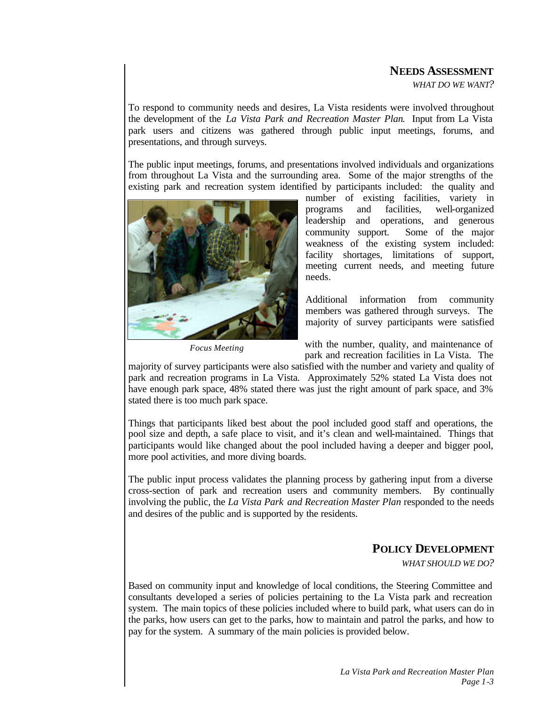## **NEEDS ASSESSMENT**

*WHAT DO WE WANT?*

To respond to community needs and desires, La Vista residents were involved throughout the development of the *La Vista Park and Recreation Master Plan*. Input from La Vista park users and citizens was gathered through public input meetings, forums, and presentations, and through surveys.

The public input meetings, forums, and presentations involved individuals and organizations from throughout La Vista and the surrounding area. Some of the major strengths of the existing park and recreation system identified by participants included: the quality and



*Focus Meeting*

number of existing facilities, variety in programs and facilities, well-organized leadership and operations, and generous community support. Some of the major weakness of the existing system included: facility shortages, limitations of support, meeting current needs, and meeting future needs.

Additional information from community members was gathered through surveys. The majority of survey participants were satisfied

with the number, quality, and maintenance of park and recreation facilities in La Vista. The

majority of survey participants were also satisfied with the number and variety and quality of park and recreation programs in La Vista. Approximately 52% stated La Vista does not have enough park space, 48% stated there was just the right amount of park space, and 3% stated there is too much park space.

Things that participants liked best about the pool included good staff and operations, the pool size and depth, a safe place to visit, and it's clean and well-maintained. Things that participants would like changed about the pool included having a deeper and bigger pool, more pool activities, and more diving boards.

The public input process validates the planning process by gathering input from a diverse cross-section of park and recreation users and community members. By continually involving the public, the *La Vista Park and Recreation Master Plan* responded to the needs and desires of the public and is supported by the residents.

## **POLICY DEVELOPMENT**

*WHAT SHOULD WE DO?*

Based on community input and knowledge of local conditions, the Steering Committee and consultants developed a series of policies pertaining to the La Vista park and recreation system. The main topics of these policies included where to build park, what users can do in the parks, how users can get to the parks, how to maintain and patrol the parks, and how to pay for the system. A summary of the main policies is provided below.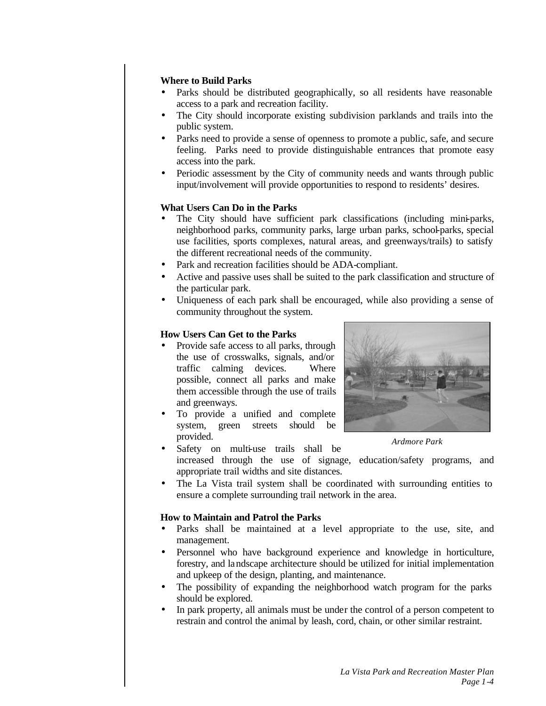## **Where to Build Parks**

- Parks should be distributed geographically, so all residents have reasonable access to a park and recreation facility.
- The City should incorporate existing subdivision parklands and trails into the public system.
- Parks need to provide a sense of openness to promote a public, safe, and secure feeling. Parks need to provide distinguishable entrances that promote easy access into the park.
- Periodic assessment by the City of community needs and wants through public input/involvement will provide opportunities to respond to residents' desires.

### **What Users Can Do in the Parks**

- The City should have sufficient park classifications (including mini-parks, neighborhood parks, community parks, large urban parks, school-parks, special use facilities, sports complexes, natural areas, and greenways/trails) to satisfy the different recreational needs of the community.
- Park and recreation facilities should be ADA-compliant.
- Active and passive uses shall be suited to the park classification and structure of the particular park.
- Uniqueness of each park shall be encouraged, while also providing a sense of community throughout the system.

#### **How Users Can Get to the Parks**

- Provide safe access to all parks, through the use of crosswalks, signals, and/or traffic calming devices. Where possible, connect all parks and make them accessible through the use of trails and greenways.
- To provide a unified and complete system, green streets should be provided.



*Ardmore Park*

- Safety on multi-use trails shall be increased through the use of signage, education/safety programs, and
- appropriate trail widths and site distances.
- The La Vista trail system shall be coordinated with surrounding entities to ensure a complete surrounding trail network in the area.

#### **How to Maintain and Patrol the Parks**

- Parks shall be maintained at a level appropriate to the use, site, and management.
- Personnel who have background experience and knowledge in horticulture, forestry, and landscape architecture should be utilized for initial implementation and upkeep of the design, planting, and maintenance.
- The possibility of expanding the neighborhood watch program for the parks should be explored.
- In park property, all animals must be under the control of a person competent to restrain and control the animal by leash, cord, chain, or other similar restraint.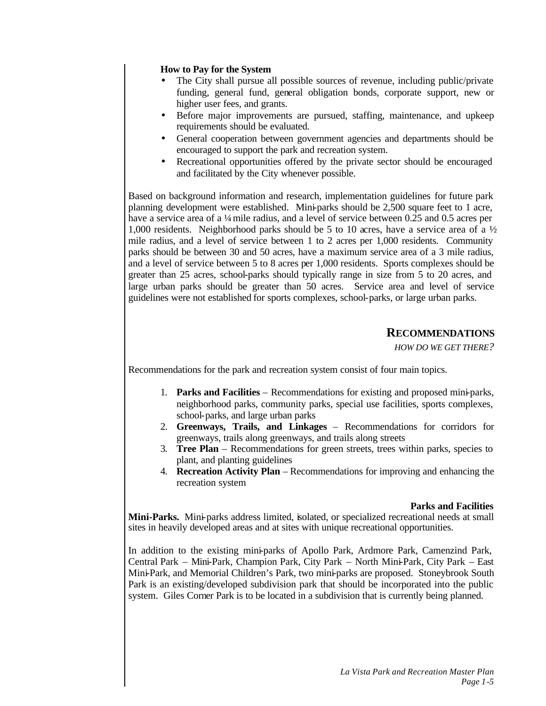## **How to Pay for the System**

- The City shall pursue all possible sources of revenue, including public/private funding, general fund, general obligation bonds, corporate support, new or higher user fees, and grants.
- Before major improvements are pursued, staffing, maintenance, and upkeep requirements should be evaluated.
- General cooperation between government agencies and departments should be encouraged to support the park and recreation system.
- Recreational opportunities offered by the private sector should be encouraged and facilitated by the City whenever possible.

Based on background information and research, implementation guidelines for future park planning development were established. Mini-parks should be  $2.500$  square feet to 1 acre, have a service area of a  $\frac{1}{4}$  mile radius, and a level of service between 0.25 and 0.5 acres per 1,000 residents. Neighborhood parks should be 5 to 10 acres, have a service area of a  $\frac{1}{2}$ mile radius, and a level of service between 1 to 2 acres per 1,000 residents. Community parks should be between 30 and 50 acres, have a maximum service area of a 3 mile radius, and a level of service between 5 to 8 acres per 1,000 residents. Sports complexes should be greater than 25 acres, school-parks should typically range in size from 5 to 20 acres, and large urban parks should be greater than 50 acres. Service area and level of service guidelines were not established for sports complexes, school-parks, or large urban parks.

# **RECOMMENDATIONS**

*HOW DO WE GET THERE?*

Recommendations for the park and recreation system consist of four main topics.

- 1. **Parks and Facilities** Recommendations for existing and proposed mini-parks, neighborhood parks, community parks, special use facilities, sports complexes, school-parks, and large urban parks
- 2. **Greenways, Trails, and Linkages** Recommendations for corridors for greenways, trails along greenways, and trails along streets
- 3. **Tree Plan** Recommendations for green streets, trees within parks, species to plant, and planting guidelines
- 4. **Recreation Activity Plan** Recommendations for improving and enhancing the recreation system

#### **Parks and Facilities**

**Mini-Parks.** Mini-parks address limited, isolated, or specialized recreational needs at small sites in heavily developed areas and at sites with unique recreational opportunities.

In addition to the existing mini-parks of Apollo Park, Ardmore Park, Camenzind Park, Central Park – Mini-Park, Champion Park, City Park – North Mini-Park, City Park – East Mini-Park, and Memorial Children's Park, two mini-parks are proposed. Stoneybrook South Park is an existing/developed subdivision park that should be incorporated into the public system. Giles Corner Park is to be located in a subdivision that is currently being planned.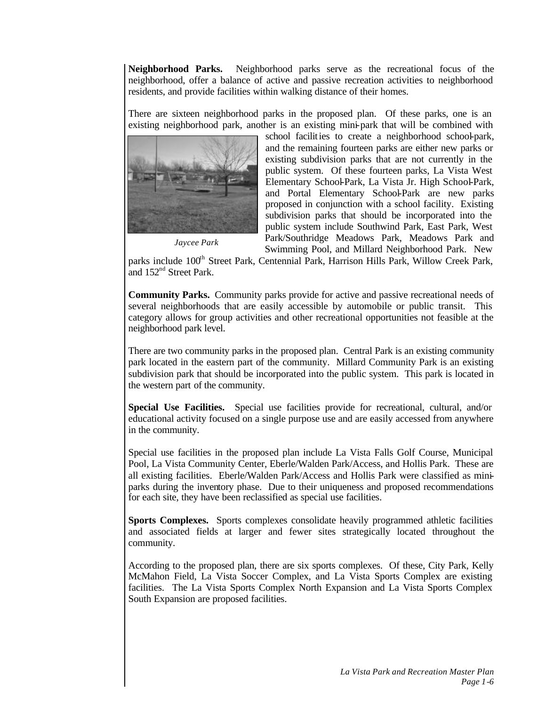**Neighborhood Parks.** Neighborhood parks serve as the recreational focus of the neighborhood, offer a balance of active and passive recreation activities to neighborhood residents, and provide facilities within walking distance of their homes.

There are sixteen neighborhood parks in the proposed plan. Of these parks, one is an existing neighborhood park, another is an existing mini-park that will be combined with



*Jaycee Park*

school facilities to create a neighborhood school-park, and the remaining fourteen parks are either new parks or existing subdivision parks that are not currently in the public system. Of these fourteen parks, La Vista West Elementary School-Park, La Vista Jr. High School-Park, and Portal Elementary School-Park are new parks proposed in conjunction with a school facility. Existing subdivision parks that should be incorporated into the public system include Southwind Park, East Park, West Park/Southridge Meadows Park, Meadows Park and Swimming Pool, and Millard Neighborhood Park. New

parks include 100<sup>th</sup> Street Park, Centennial Park, Harrison Hills Park, Willow Creek Park, and 152nd Street Park.

**Community Parks.** Community parks provide for active and passive recreational needs of several neighborhoods that are easily accessible by automobile or public transit. This category allows for group activities and other recreational opportunities not feasible at the neighborhood park level.

There are two community parks in the proposed plan. Central Park is an existing community park located in the eastern part of the community. Millard Community Park is an existing subdivision park that should be incorporated into the public system. This park is located in the western part of the community.

**Special Use Facilities.** Special use facilities provide for recreational, cultural, and/or educational activity focused on a single purpose use and are easily accessed from anywhere in the community.

Special use facilities in the proposed plan include La Vista Falls Golf Course, Municipal Pool, La Vista Community Center, Eberle/Walden Park/Access, and Hollis Park. These are all existing facilities. Eberle/Walden Park/Access and Hollis Park were classified as miniparks during the inventory phase. Due to their uniqueness and proposed recommendations for each site, they have been reclassified as special use facilities.

**Sports Complexes.** Sports complexes consolidate heavily programmed athletic facilities and associated fields at larger and fewer sites strategically located throughout the community.

According to the proposed plan, there are six sports complexes. Of these, City Park, Kelly McMahon Field, La Vista Soccer Complex, and La Vista Sports Complex are existing facilities. The La Vista Sports Complex North Expansion and La Vista Sports Complex South Expansion are proposed facilities.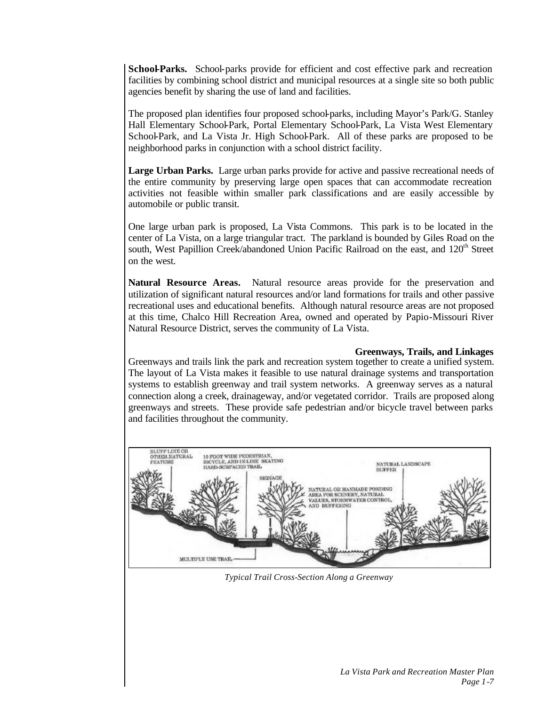**School-Parks.** School-parks provide for efficient and cost effective park and recreation facilities by combining school district and municipal resources at a single site so both public agencies benefit by sharing the use of land and facilities.

The proposed plan identifies four proposed school-parks, including Mayor's Park/G. Stanley Hall Elementary School-Park, Portal Elementary School-Park, La Vista West Elementary School-Park, and La Vista Jr. High School-Park. All of these parks are proposed to be neighborhood parks in conjunction with a school district facility.

**Large Urban Parks.** Large urban parks provide for active and passive recreational needs of the entire community by preserving large open spaces that can accommodate recreation activities not feasible within smaller park classifications and are easily accessible by automobile or public transit.

One large urban park is proposed, La Vista Commons. This park is to be located in the center of La Vista, on a large triangular tract. The parkland is bounded by Giles Road on the south, West Papillion Creek/abandoned Union Pacific Railroad on the east, and 120<sup>th</sup> Street on the west.

**Natural Resource Areas.** Natural resource areas provide for the preservation and utilization of significant natural resources and/or land formations for trails and other passive recreational uses and educational benefits. Although natural resource areas are not proposed at this time, Chalco Hill Recreation Area, owned and operated by Papio-Missouri River Natural Resource District, serves the community of La Vista.

## **Greenways, Trails, and Linkages**

Greenways and trails link the park and recreation system together to create a unified system. The layout of La Vista makes it feasible to use natural drainage systems and transportation systems to establish greenway and trail system networks. A greenway serves as a natural connection along a creek, drainageway, and/or vegetated corridor. Trails are proposed along greenways and streets. These provide safe pedestrian and/or bicycle travel between parks and facilities throughout the community.



*Typical Trail Cross-Section Along a Greenway*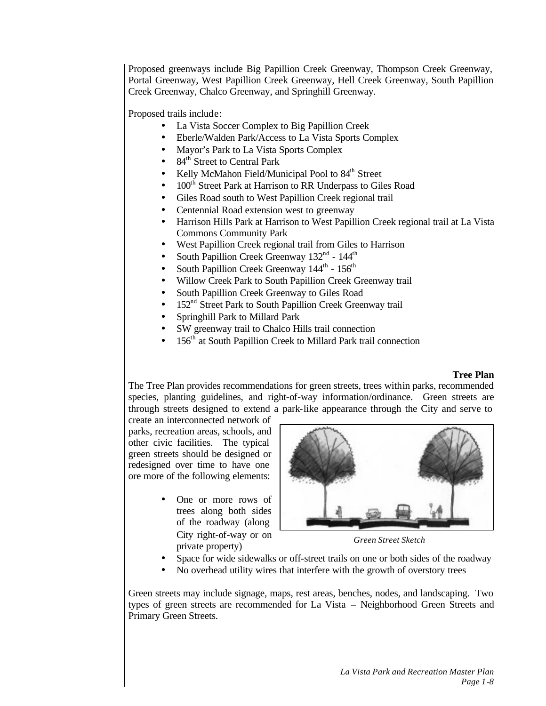Proposed greenways include Big Papillion Creek Greenway, Thompson Creek Greenway, Portal Greenway, West Papillion Creek Greenway, Hell Creek Greenway, South Papillion Creek Greenway, Chalco Greenway, and Springhill Greenway.

Proposed trails include:

- La Vista Soccer Complex to Big Papillion Creek
- Eberle/Walden Park/Access to La Vista Sports Complex
- Mayor's Park to La Vista Sports Complex
- 84<sup>th</sup> Street to Central Park
- Kelly McMahon Field/Municipal Pool to  $84<sup>th</sup>$  Street
- 100<sup>th</sup> Street Park at Harrison to RR Underpass to Giles Road
- Giles Road south to West Papillion Creek regional trail
- Centennial Road extension west to greenway
- Harrison Hills Park at Harrison to West Papillion Creek regional trail at La Vista Commons Community Park
- West Papillion Creek regional trail from Giles to Harrison
- South Papillion Creek Greenway  $132<sup>nd</sup>$   $144<sup>th</sup>$
- South Papillion Creek Greenway  $144^{\text{th}}$   $156^{\text{th}}$
- Willow Creek Park to South Papillion Creek Greenway trail
- South Papillion Creek Greenway to Giles Road
- 152<sup>nd</sup> Street Park to South Papillion Creek Greenway trail
- Springhill Park to Millard Park
- SW greenway trail to Chalco Hills trail connection
- 156<sup>th</sup> at South Papillion Creek to Millard Park trail connection

#### **Tree Plan**

The Tree Plan provides recommendations for green streets, trees within parks, recommended species, planting guidelines, and right-of-way information/ordinance. Green streets are through streets designed to extend a park-like appearance through the City and serve to

create an interconnected network of parks, recreation areas, schools, and other civic facilities. The typical green streets should be designed or redesigned over time to have one ore more of the following elements:

> One or more rows of trees along both sides of the roadway (along City right-of-way or on private property)



*Green Street Sketch*

- Space for wide sidewalks or off-street trails on one or both sides of the roadway
- No overhead utility wires that interfere with the growth of overstory trees

Green streets may include signage, maps, rest areas, benches, nodes, and landscaping. Two types of green streets are recommended for La Vista – Neighborhood Green Streets and Primary Green Streets.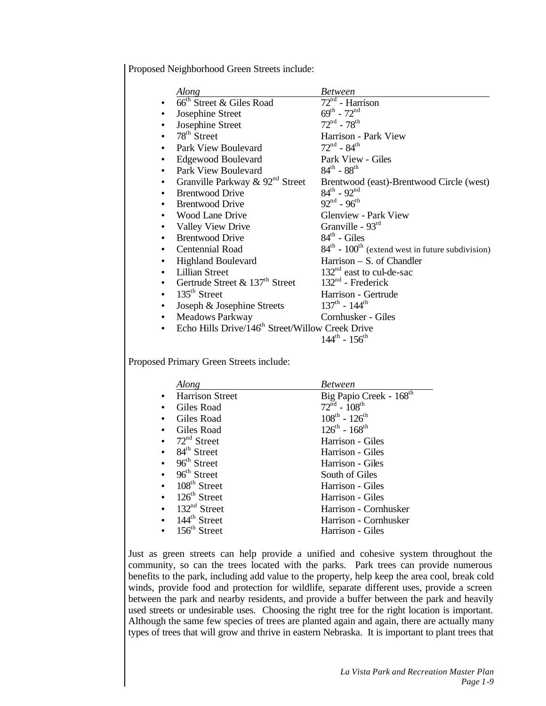Proposed Neighborhood Green Streets include:

| Along                                                        | <b>Between</b>                                                 |
|--------------------------------------------------------------|----------------------------------------------------------------|
| 66 <sup>th</sup> Street & Giles Road                         | $72nd$ - Harrison                                              |
| Josephine Street                                             | $69^{th}$ - $72^{nd}$                                          |
| Josephine Street                                             | $72^{\rm nd}$ - $78^{\rm th}$                                  |
| $78th$ Street                                                | Harrison - Park View                                           |
| Park View Boulevard                                          | $72^{\text{nd}}$ - 84 <sup>th</sup>                            |
| <b>Edgewood Boulevard</b>                                    | Park View - Giles                                              |
| Park View Boulevard                                          | $84^{th}$ - $88^{th}$                                          |
| Granville Parkway $\&$ 92 <sup>nd</sup> Street               | Brentwood (east)-Brentwood Circle (west)                       |
| <b>Brentwood Drive</b>                                       | $84^{th}$ - $92^{nd}$                                          |
| <b>Brentwood Drive</b>                                       | $92^{nd}$ - $96^{th}$                                          |
| Wood Lane Drive                                              | <b>Glenview - Park View</b>                                    |
| Valley View Drive                                            | Granville - $93rd$                                             |
| <b>Brentwood Drive</b>                                       | $84th$ - Giles                                                 |
| Centennial Road                                              | $84th$ - 100 <sup>th</sup> (extend west in future subdivision) |
| <b>Highland Boulevard</b>                                    | Harrison - S. of Chandler                                      |
| <b>Lillian Street</b>                                        | $132nd$ east to cul-de-sac                                     |
| Gertrude Street $\&$ 137 <sup>th</sup> Street                | $132nd$ - Frederick                                            |
| $135th$ Street                                               | Harrison - Gertrude                                            |
| Joseph & Josephine Streets                                   | $137^{\text{th}}$ - $144^{\text{th}}$                          |
| <b>Meadows Parkway</b>                                       | Cornhusker - Giles                                             |
| Echo Hills Drive/146 <sup>th</sup> Street/Willow Creek Drive |                                                                |
|                                                              | $144^{\text{th}} - 156^{\text{th}}$                            |
|                                                              |                                                                |

Proposed Primary Green Streets include:

| Along                              | <b>Between</b>                       |
|------------------------------------|--------------------------------------|
| <b>Harrison Street</b>             | Big Papio Creek - 168 <sup>th</sup>  |
| Giles Road                         | $72^{\text{nd}}$ - $108^{\text{th}}$ |
| Giles Road                         | $108^{th} - 126^{th}$                |
| Giles Road                         | $126^{th} - 168^{th}$                |
| • $72nd$ Street                    | Harrison - Giles                     |
| $\bullet$ 84 <sup>th</sup> Street  | Harrison - Giles                     |
| $96th$ Street                      | Harrison - Giles                     |
| $96th$ Street                      | South of Giles                       |
| $\bullet$ 108 <sup>th</sup> Street | Harrison - Giles                     |
| $\bullet$ 126 <sup>th</sup> Street | Harrison - Giles                     |
| $132nd$ Street                     | Harrison - Cornhusker                |
| $\bullet$ 144 <sup>th</sup> Street | Harrison - Cornhusker                |
| $156^{\text{th}}$ Street           | Harrison - Giles                     |

Just as green streets can help provide a unified and cohesive system throughout the community, so can the trees located with the parks. Park trees can provide numerous benefits to the park, including add value to the property, help keep the area cool, break cold winds, provide food and protection for wildlife, separate different uses, provide a screen between the park and nearby residents, and provide a buffer between the park and heavily used streets or undesirable uses. Choosing the right tree for the right location is important. Although the same few species of trees are planted again and again, there are actually many types of trees that will grow and thrive in eastern Nebraska. It is important to plant trees that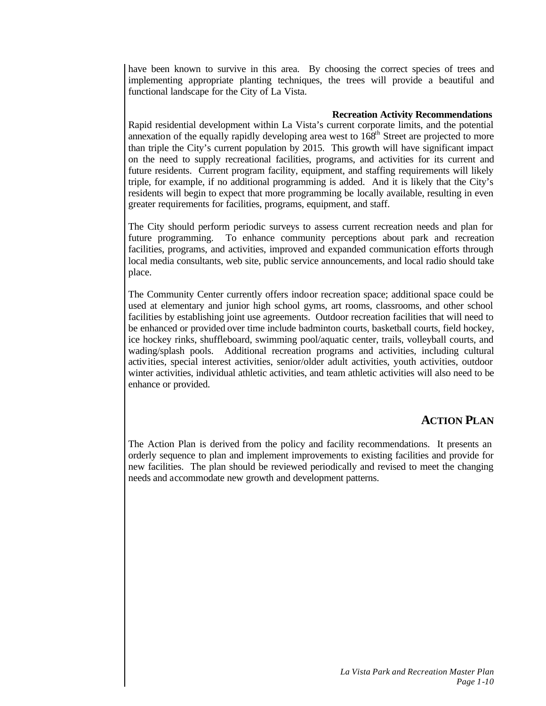have been known to survive in this area. By choosing the correct species of trees and implementing appropriate planting techniques, the trees will provide a beautiful and functional landscape for the City of La Vista.

## **Recreation Activity Recommendations**

Rapid residential development within La Vista's current corporate limits, and the potential annexation of the equally rapidly developing area west to  $168<sup>th</sup>$  Street are projected to more than triple the City's current population by 2015. This growth will have significant impact on the need to supply recreational facilities, programs, and activities for its current and future residents. Current program facility, equipment, and staffing requirements will likely triple, for example, if no additional programming is added. And it is likely that the City's residents will begin to expect that more programming be locally available, resulting in even greater requirements for facilities, programs, equipment, and staff.

The City should perform periodic surveys to assess current recreation needs and plan for future programming. To enhance community perceptions about park and recreation facilities, programs, and activities, improved and expanded communication efforts through local media consultants, web site, public service announcements, and local radio should take place.

The Community Center currently offers indoor recreation space; additional space could be used at elementary and junior high school gyms, art rooms, classrooms, and other school facilities by establishing joint use agreements. Outdoor recreation facilities that will need to be enhanced or provided over time include badminton courts, basketball courts, field hockey, ice hockey rinks, shuffleboard, swimming pool/aquatic center, trails, volleyball courts, and wading/splash pools. Additional recreation programs and activities, including cultural activities, special interest activities, senior/older adult activities, youth activities, outdoor winter activities, individual athletic activities, and team athletic activities will also need to be enhance or provided.

# **ACTION PLAN**

The Action Plan is derived from the policy and facility recommendations. It presents an orderly sequence to plan and implement improvements to existing facilities and provide for new facilities. The plan should be reviewed periodically and revised to meet the changing needs and accommodate new growth and development patterns.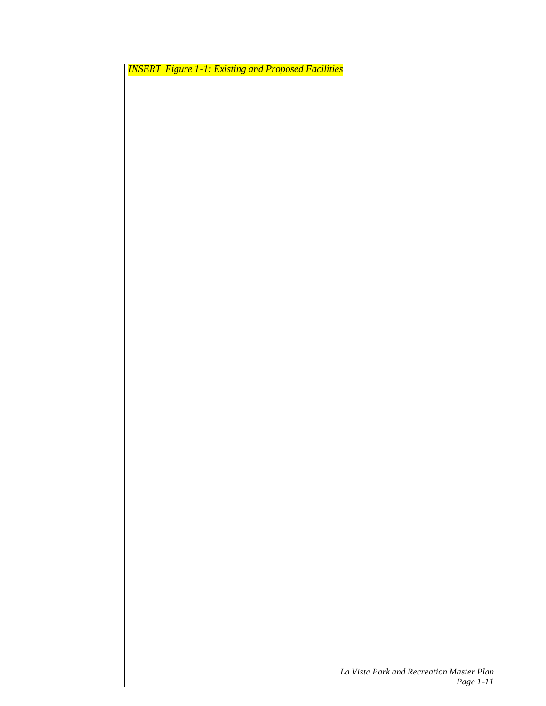*INSERT Figure 1-1: Existing and Proposed Facilities*